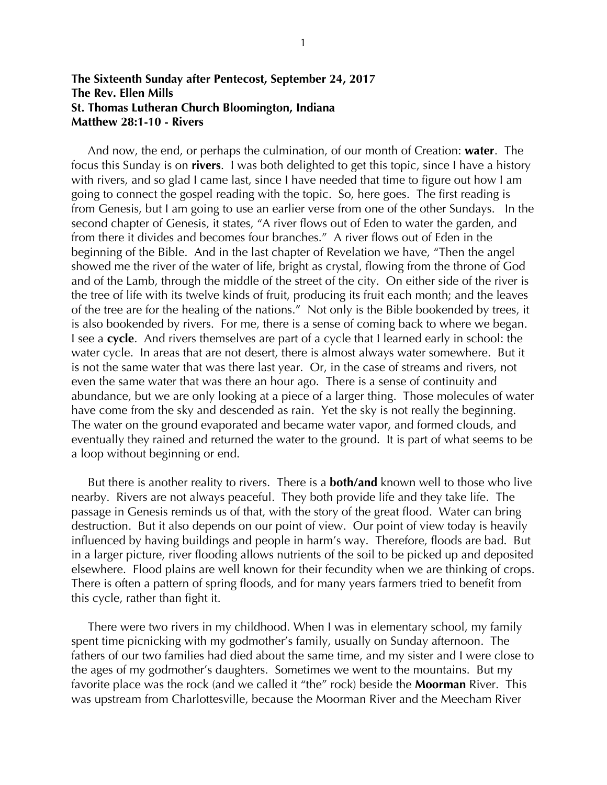## **The Sixteenth Sunday after Pentecost, September 24, 2017 The Rev. Ellen Mills St. Thomas Lutheran Church Bloomington, Indiana Matthew 28:1-10 - Rivers**

 And now, the end, or perhaps the culmination, of our month of Creation: **water**. The focus this Sunday is on **rivers**. I was both delighted to get this topic, since I have a history with rivers, and so glad I came last, since I have needed that time to figure out how I am going to connect the gospel reading with the topic. So, here goes. The first reading is from Genesis, but I am going to use an earlier verse from one of the other Sundays. In the second chapter of Genesis, it states, "A river flows out of Eden to water the garden, and from there it divides and becomes four branches." A river flows out of Eden in the beginning of the Bible. And in the last chapter of Revelation we have, "Then the angel showed me the river of the water of life, bright as crystal, flowing from the throne of God and of the Lamb, through the middle of the street of the city. On either side of the river is the tree of life with its twelve kinds of fruit, producing its fruit each month; and the leaves of the tree are for the healing of the nations." Not only is the Bible bookended by trees, it is also bookended by rivers. For me, there is a sense of coming back to where we began. I see a **cycle**. And rivers themselves are part of a cycle that I learned early in school: the water cycle. In areas that are not desert, there is almost always water somewhere. But it is not the same water that was there last year. Or, in the case of streams and rivers, not even the same water that was there an hour ago. There is a sense of continuity and abundance, but we are only looking at a piece of a larger thing. Those molecules of water have come from the sky and descended as rain. Yet the sky is not really the beginning. The water on the ground evaporated and became water vapor, and formed clouds, and eventually they rained and returned the water to the ground. It is part of what seems to be a loop without beginning or end.

 But there is another reality to rivers. There is a **both/and** known well to those who live nearby. Rivers are not always peaceful. They both provide life and they take life. The passage in Genesis reminds us of that, with the story of the great flood. Water can bring destruction. But it also depends on our point of view. Our point of view today is heavily influenced by having buildings and people in harm's way. Therefore, floods are bad. But in a larger picture, river flooding allows nutrients of the soil to be picked up and deposited elsewhere. Flood plains are well known for their fecundity when we are thinking of crops. There is often a pattern of spring floods, and for many years farmers tried to benefit from this cycle, rather than fight it.

 There were two rivers in my childhood. When I was in elementary school, my family spent time picnicking with my godmother's family, usually on Sunday afternoon. The fathers of our two families had died about the same time, and my sister and I were close to the ages of my godmother's daughters. Sometimes we went to the mountains. But my favorite place was the rock (and we called it "the" rock) beside the **Moorman** River. This was upstream from Charlottesville, because the Moorman River and the Meecham River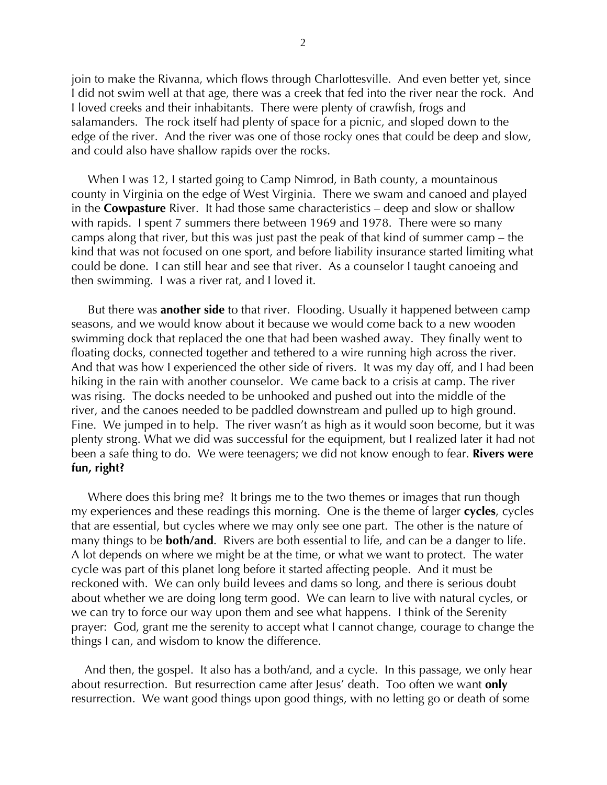join to make the Rivanna, which flows through Charlottesville. And even better yet, since I did not swim well at that age, there was a creek that fed into the river near the rock. And I loved creeks and their inhabitants. There were plenty of crawfish, frogs and salamanders. The rock itself had plenty of space for a picnic, and sloped down to the edge of the river. And the river was one of those rocky ones that could be deep and slow, and could also have shallow rapids over the rocks.

 When I was 12, I started going to Camp Nimrod, in Bath county, a mountainous county in Virginia on the edge of West Virginia. There we swam and canoed and played in the **Cowpasture** River. It had those same characteristics – deep and slow or shallow with rapids. I spent 7 summers there between 1969 and 1978. There were so many camps along that river, but this was just past the peak of that kind of summer camp – the kind that was not focused on one sport, and before liability insurance started limiting what could be done. I can still hear and see that river. As a counselor I taught canoeing and then swimming. I was a river rat, and I loved it.

 But there was **another side** to that river. Flooding. Usually it happened between camp seasons, and we would know about it because we would come back to a new wooden swimming dock that replaced the one that had been washed away. They finally went to floating docks, connected together and tethered to a wire running high across the river. And that was how I experienced the other side of rivers. It was my day off, and I had been hiking in the rain with another counselor. We came back to a crisis at camp. The river was rising. The docks needed to be unhooked and pushed out into the middle of the river, and the canoes needed to be paddled downstream and pulled up to high ground. Fine. We jumped in to help. The river wasn't as high as it would soon become, but it was plenty strong. What we did was successful for the equipment, but I realized later it had not been a safe thing to do. We were teenagers; we did not know enough to fear. **Rivers were fun, right?**

 Where does this bring me? It brings me to the two themes or images that run though my experiences and these readings this morning. One is the theme of larger **cycles**, cycles that are essential, but cycles where we may only see one part. The other is the nature of many things to be **both/and**. Rivers are both essential to life, and can be a danger to life. A lot depends on where we might be at the time, or what we want to protect. The water cycle was part of this planet long before it started affecting people. And it must be reckoned with. We can only build levees and dams so long, and there is serious doubt about whether we are doing long term good. We can learn to live with natural cycles, or we can try to force our way upon them and see what happens. I think of the Serenity prayer: God, grant me the serenity to accept what I cannot change, courage to change the things I can, and wisdom to know the difference.

 And then, the gospel. It also has a both/and, and a cycle. In this passage, we only hear about resurrection. But resurrection came after Jesus' death. Too often we want **only** resurrection. We want good things upon good things, with no letting go or death of some